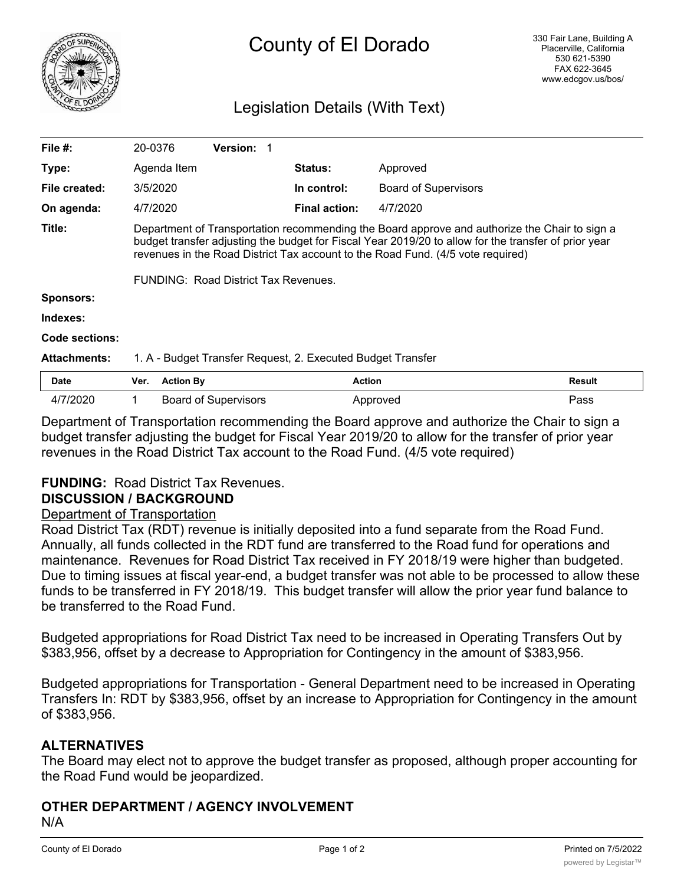

# Legislation Details (With Text)

| File $#$ :          | 20-0376                                                                                                                                                                                                                                                                                  |                  | <b>Version:</b>             |  |                      |                             |        |
|---------------------|------------------------------------------------------------------------------------------------------------------------------------------------------------------------------------------------------------------------------------------------------------------------------------------|------------------|-----------------------------|--|----------------------|-----------------------------|--------|
| Type:               |                                                                                                                                                                                                                                                                                          | Agenda Item      |                             |  | <b>Status:</b>       | Approved                    |        |
| File created:       | 3/5/2020                                                                                                                                                                                                                                                                                 |                  |                             |  | In control:          | <b>Board of Supervisors</b> |        |
| On agenda:          | 4/7/2020                                                                                                                                                                                                                                                                                 |                  |                             |  | <b>Final action:</b> | 4/7/2020                    |        |
| Title:              | Department of Transportation recommending the Board approve and authorize the Chair to sign a<br>budget transfer adjusting the budget for Fiscal Year 2019/20 to allow for the transfer of prior year<br>revenues in the Road District Tax account to the Road Fund. (4/5 vote required) |                  |                             |  |                      |                             |        |
|                     | FUNDING: Road District Tax Revenues.                                                                                                                                                                                                                                                     |                  |                             |  |                      |                             |        |
| <b>Sponsors:</b>    |                                                                                                                                                                                                                                                                                          |                  |                             |  |                      |                             |        |
| Indexes:            |                                                                                                                                                                                                                                                                                          |                  |                             |  |                      |                             |        |
| Code sections:      |                                                                                                                                                                                                                                                                                          |                  |                             |  |                      |                             |        |
| <b>Attachments:</b> | 1. A - Budget Transfer Request, 2. Executed Budget Transfer                                                                                                                                                                                                                              |                  |                             |  |                      |                             |        |
| <b>Date</b>         | Ver.                                                                                                                                                                                                                                                                                     | <b>Action By</b> |                             |  | <b>Action</b>        |                             | Result |
| 4/7/2020            | 1                                                                                                                                                                                                                                                                                        |                  | <b>Board of Supervisors</b> |  |                      | Approved                    | Pass   |

Department of Transportation recommending the Board approve and authorize the Chair to sign a budget transfer adjusting the budget for Fiscal Year 2019/20 to allow for the transfer of prior year revenues in the Road District Tax account to the Road Fund. (4/5 vote required)

# **FUNDING:** Road District Tax Revenues.

### **DISCUSSION / BACKGROUND**

### Department of Transportation

Road District Tax (RDT) revenue is initially deposited into a fund separate from the Road Fund. Annually, all funds collected in the RDT fund are transferred to the Road fund for operations and maintenance. Revenues for Road District Tax received in FY 2018/19 were higher than budgeted. Due to timing issues at fiscal year-end, a budget transfer was not able to be processed to allow these funds to be transferred in FY 2018/19. This budget transfer will allow the prior year fund balance to be transferred to the Road Fund.

Budgeted appropriations for Road District Tax need to be increased in Operating Transfers Out by \$383,956, offset by a decrease to Appropriation for Contingency in the amount of \$383,956.

Budgeted appropriations for Transportation - General Department need to be increased in Operating Transfers In: RDT by \$383,956, offset by an increase to Appropriation for Contingency in the amount of \$383,956.

# **ALTERNATIVES**

The Board may elect not to approve the budget transfer as proposed, although proper accounting for the Road Fund would be jeopardized.

# **OTHER DEPARTMENT / AGENCY INVOLVEMENT**

N/A